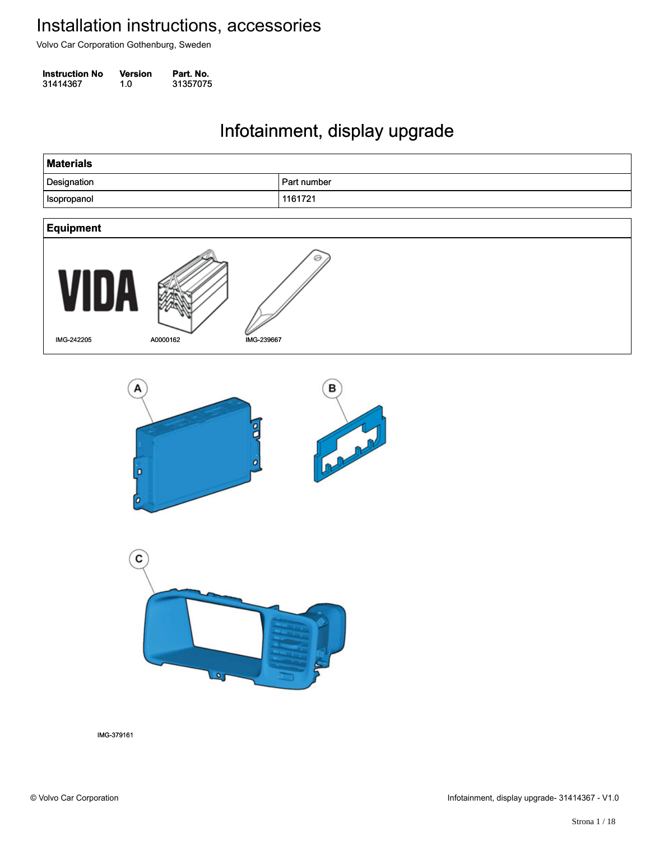Volvo Car Corporation Gothenburg, Sweden

**Instruction No** Version Part. No. 31414367 1.0 31357075 314143671.031357075

#### Infotainment, display upgrade Infotainment, display upgrade

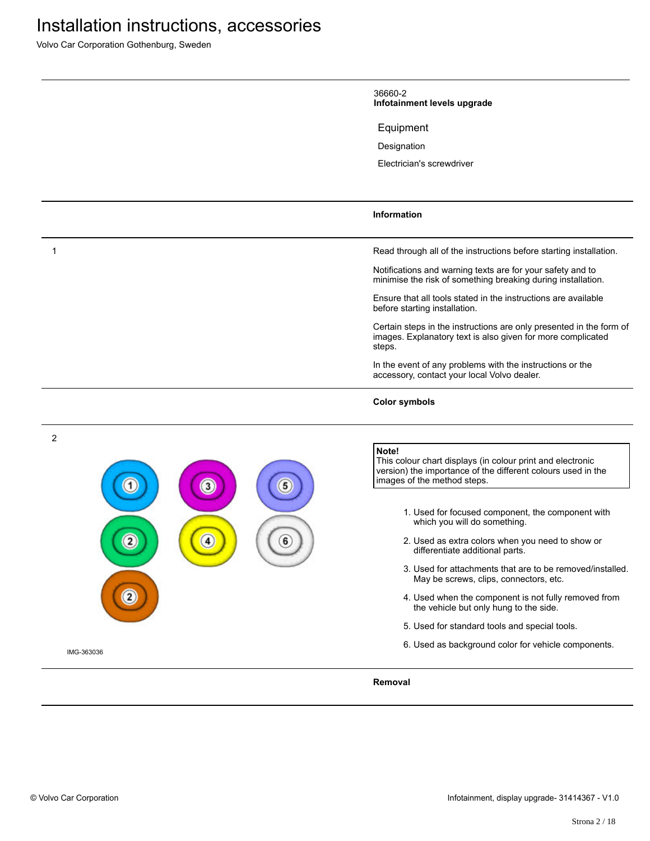Volvo Car Corporation Gothenburg, Sweden

|            | 36660-2<br>Infotainment levels upgrade                                                                                                                             |
|------------|--------------------------------------------------------------------------------------------------------------------------------------------------------------------|
|            | Equipment                                                                                                                                                          |
|            | Designation                                                                                                                                                        |
|            | Electrician's screwdriver                                                                                                                                          |
|            | <b>Information</b>                                                                                                                                                 |
| 1          | Read through all of the instructions before starting installation.                                                                                                 |
|            | Notifications and warning texts are for your safety and to<br>minimise the risk of something breaking during installation.                                         |
|            | Ensure that all tools stated in the instructions are available<br>before starting installation.                                                                    |
|            | Certain steps in the instructions are only presented in the form of<br>images. Explanatory text is also given for more complicated<br>steps.                       |
|            | In the event of any problems with the instructions or the<br>accessory, contact your local Volvo dealer.                                                           |
|            | <b>Color symbols</b>                                                                                                                                               |
| 2          | Note!<br>This colour chart displays (in colour print and electronic<br>version) the importance of the different colours used in the<br>images of the method steps. |
|            | 1. Used for focused component, the component with<br>which you will do something.                                                                                  |
| 6<br>4     | 2. Used as extra colors when you need to show or<br>differentiate additional parts.                                                                                |
|            | 3. Used for attachments that are to be removed/installed.<br>May be screws, clips, connectors, etc.                                                                |
|            | 4. Used when the component is not fully removed from<br>the vehicle but only hung to the side.                                                                     |
|            | 5. Used for standard tools and special tools.                                                                                                                      |
| IMG-363036 | 6. Used as background color for vehicle components.                                                                                                                |
|            | Removal                                                                                                                                                            |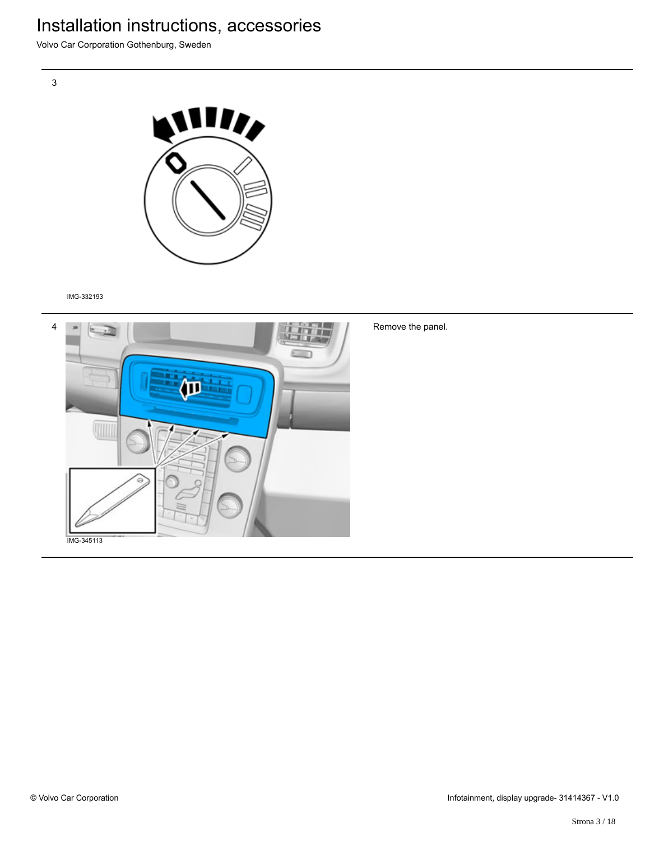Volvo Car Corporation Gothenburg, Sweden



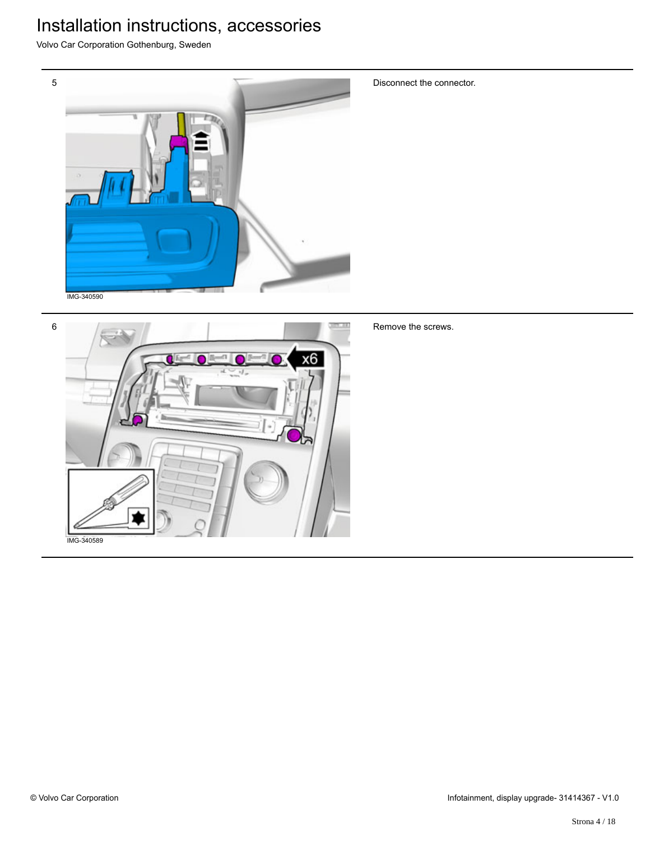Volvo Car Corporation Gothenburg, Sweden



Disconnect the connector.



Remove the screws.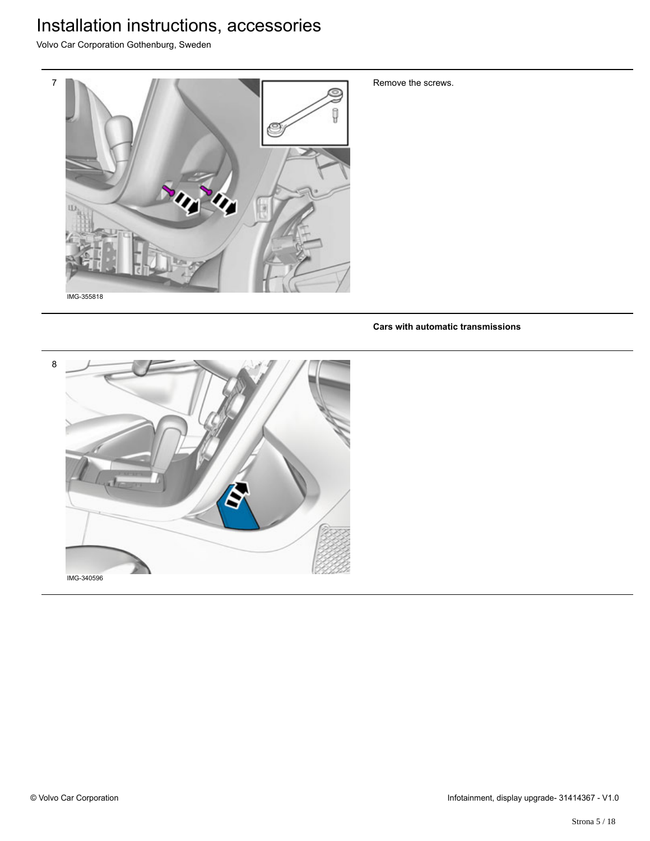Volvo Car Corporation Gothenburg, Sweden



Remove the screws.

**Cars with automatic transmissions**

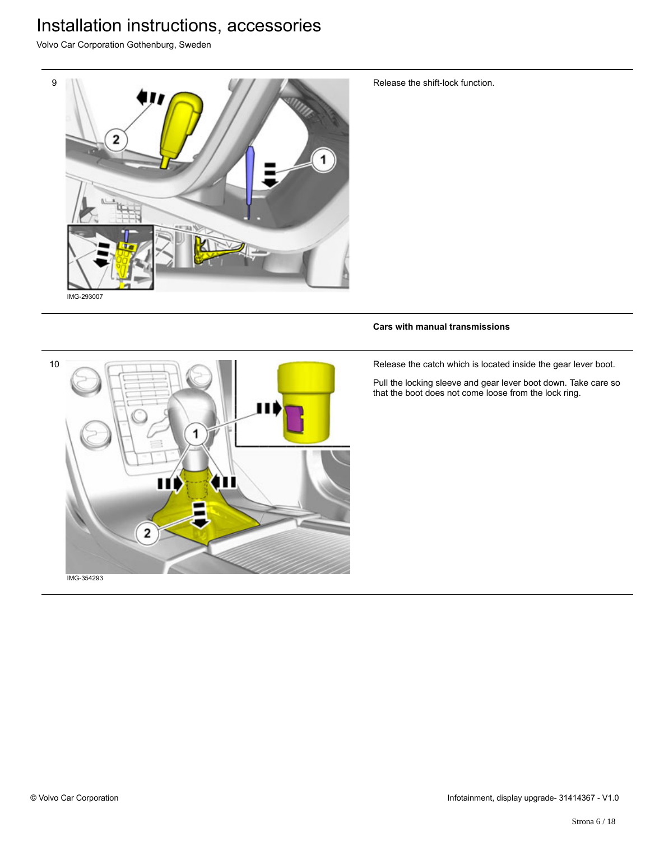Volvo Car Corporation Gothenburg, Sweden



Release the shift-lock function.

#### **Cars with manual transmissions**

Release the catch which is located inside the gear lever boot.

Pull the locking sleeve and gear lever boot down. Take care so that the boot does not come loose from the lock ring.

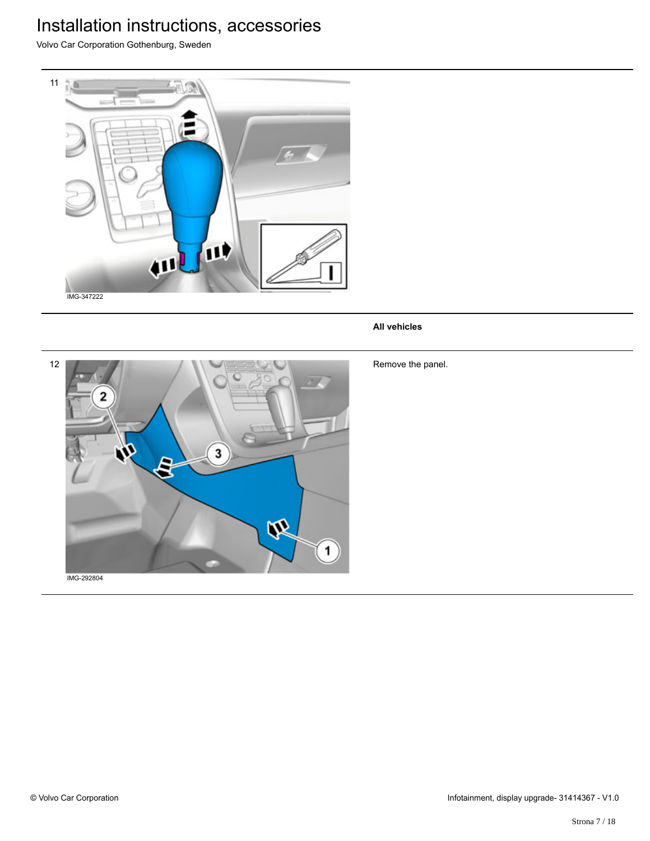Volvo Car Corporation Gothenburg, Sweden



#### **All vehicles**



Remove the panel.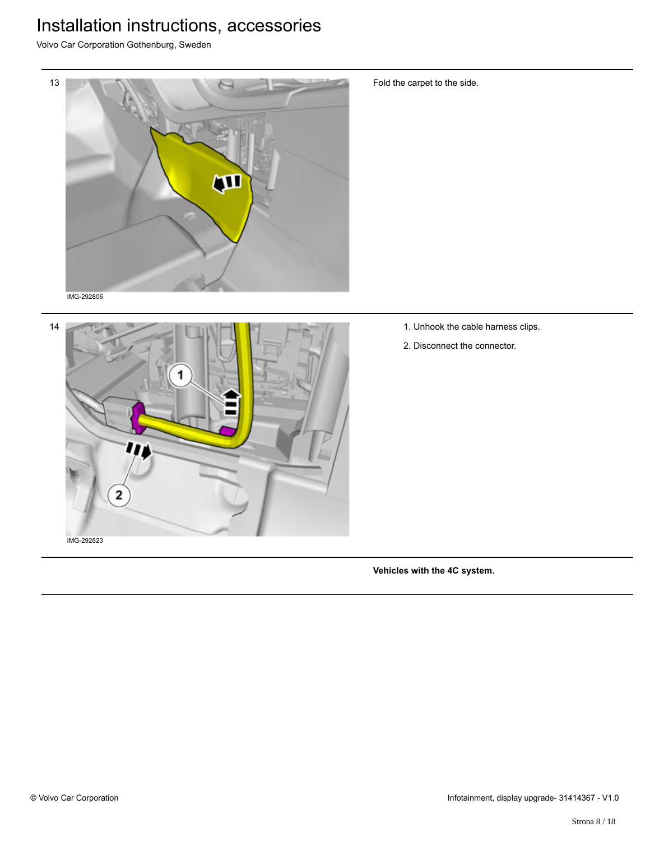Volvo Car Corporation Gothenburg, Sweden





Fold the carpet to the side.

- 1. Unhook the cable harness clips.
- 2. Disconnect the connector.

**Vehicles with the 4C system.**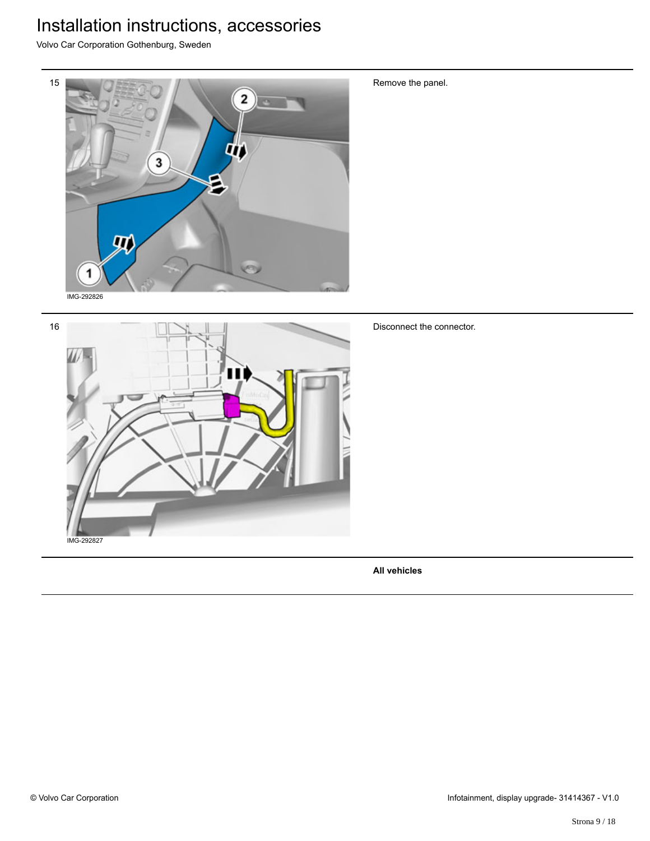Volvo Car Corporation Gothenburg, Sweden



Remove the panel.

Disconnect the connector.

**All vehicles**

IMG-292827

16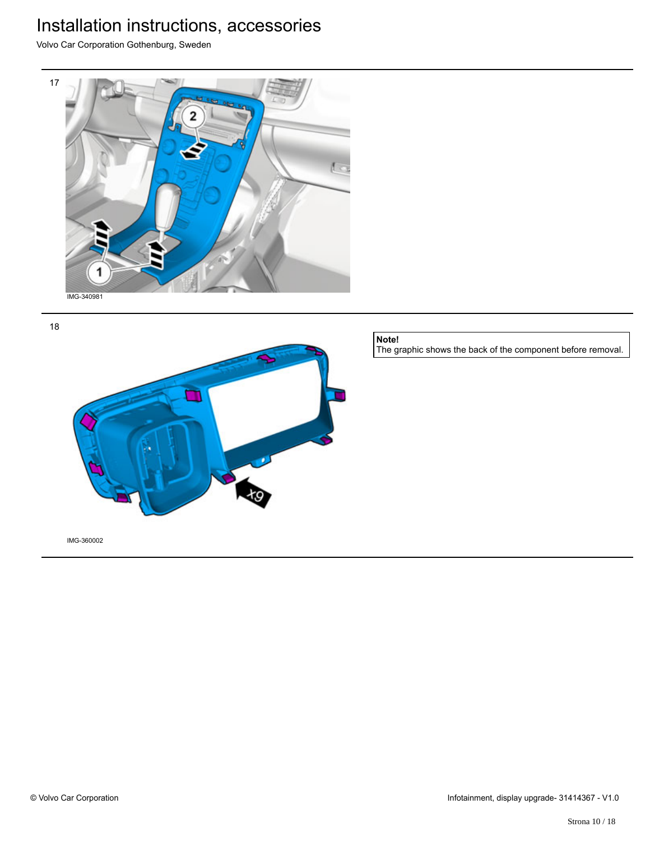Volvo Car Corporation Gothenburg, Sweden







**Note!**

The graphic shows the back of the component before removal.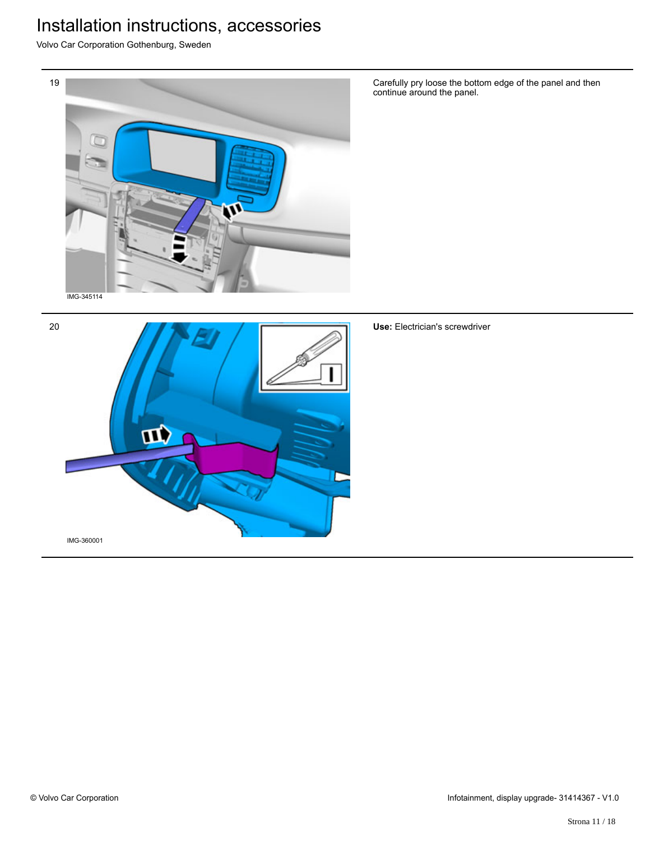Volvo Car Corporation Gothenburg, Sweden



Carefully pry loose the bottom edge of the panel and then continue around the panel.



**Use:** Electrician's screwdriver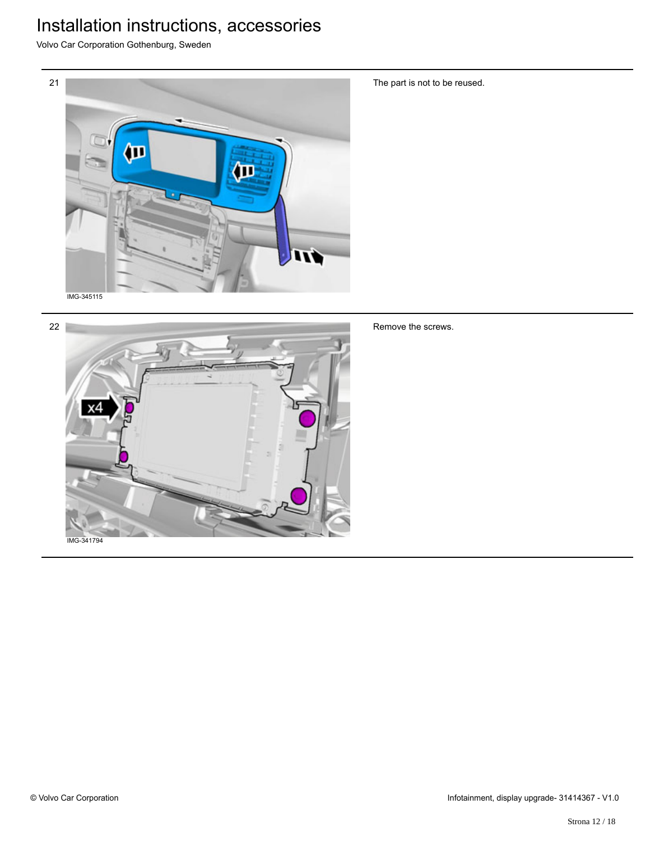Volvo Car Corporation Gothenburg, Sweden





The part is not to be reused.

Remove the screws.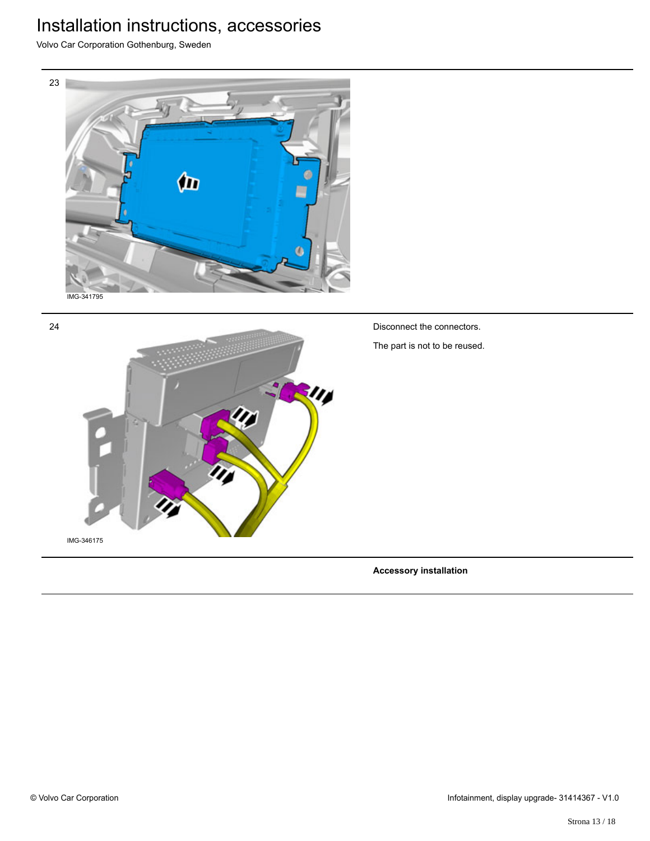Volvo Car Corporation Gothenburg, Sweden





**Accessory installation**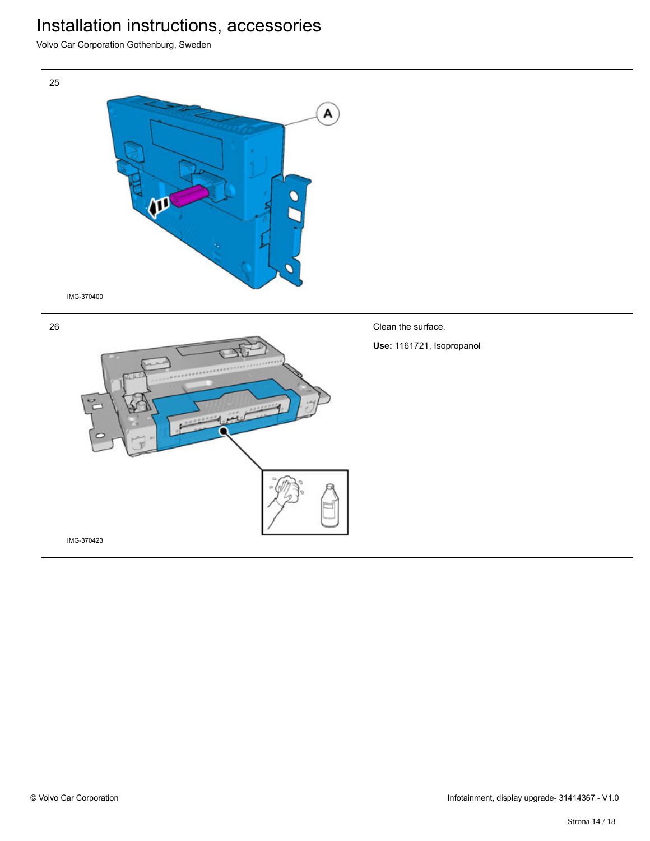Volvo Car Corporation Gothenburg, Sweden



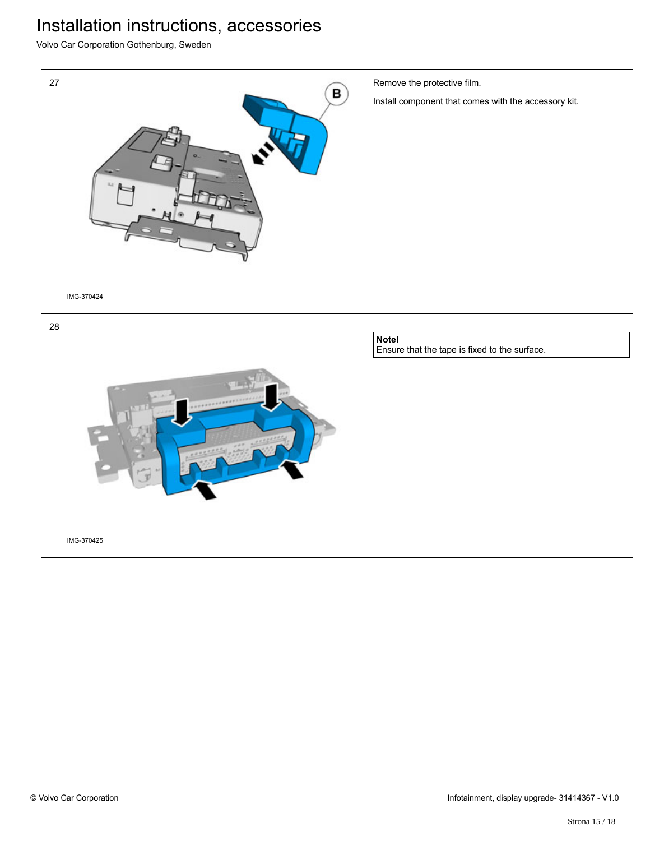Volvo Car Corporation Gothenburg, Sweden



Remove the protective film.

Install component that comes with the accessory kit.

IMG-370424





#### **Note!** Ensure that the tape is fixed to the surface.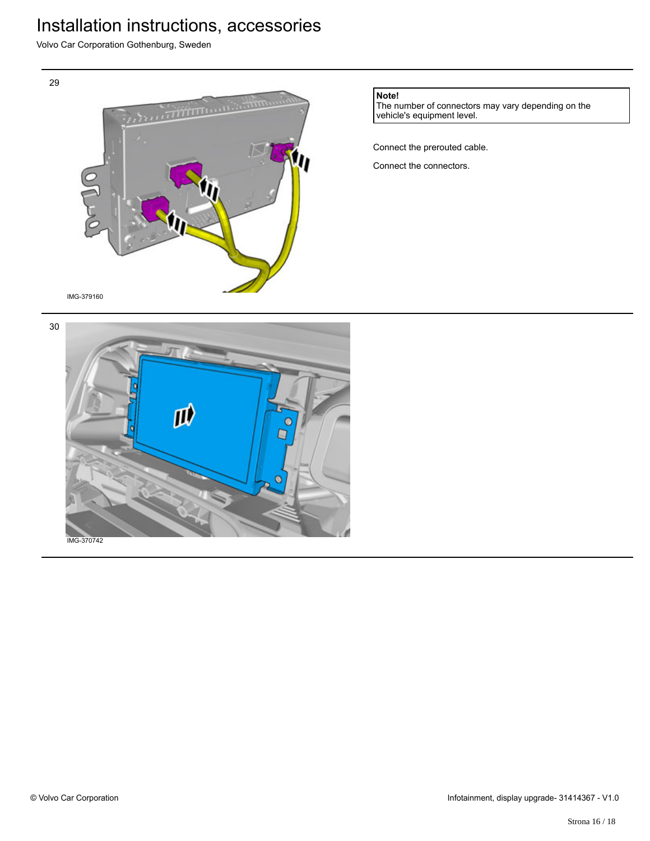Volvo Car Corporation Gothenburg, Sweden



**Note!**

The number of connectors may vary depending on the vehicle's equipment level.

Connect the prerouted cable.

Connect the connectors.



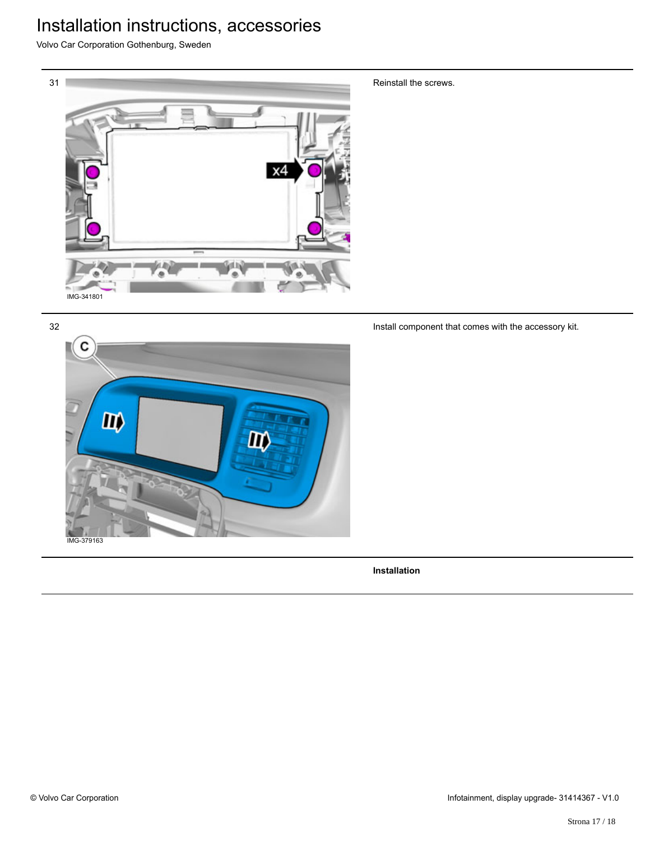Volvo Car Corporation Gothenburg, Sweden



Reinstall the screws.

Install component that comes with the accessory kit.



**Installation**